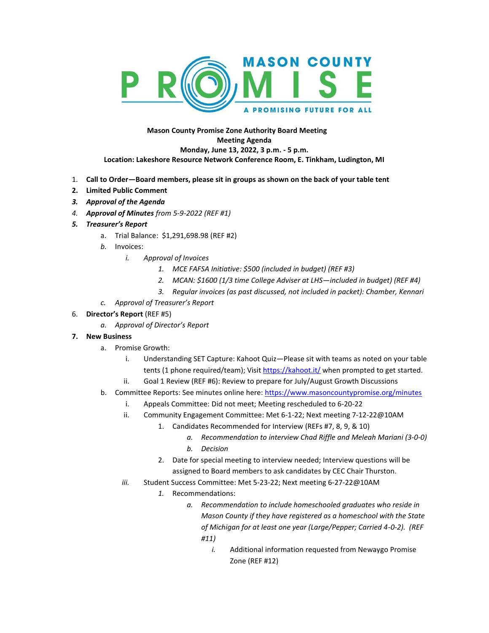

## **Mason County Promise Zone Authority Board Meeting Meeting Agenda Monday, June 13, 2022, 3 p.m. - 5 p.m. Location: Lakeshore Resource Network Conference Room, E. Tinkham, Ludington, MI**

- 1. **Call to Order—Board members, please sit in groups as shown on the back of your table tent**
- **2. Limited Public Comment**
- *3. Approval of the Agenda*
- *4. Approval of Minutes from 5-9-2022 (REF #1)*
- *5. Treasurer's Report*
	- a. Trial Balance: \$1,291,698.98 (REF #2)
	- *b.* Invoices:
		- *i. Approval of Invoices*
			- *1. MCE FAFSA Initiative: \$500 (included in budget) (REF #3)*
			- *2. MCAN: \$1600 (1/3 time College Adviser at LHS—included in budget) (REF #4)*
			- *3. Regular invoices (as past discussed, not included in packet): Chamber, Kennari*
	- *c. Approval of Treasurer's Report*

## 6. **Director's Report** (REF #5)

*a. Approval of Director's Report*

## **7. New Business**

- a. Promise Growth:
	- i. Understanding SET Capture: Kahoot Quiz—Please sit with teams as noted on your table tents (1 phone required/team); Visi[t https://kahoot.it/](https://kahoot.it/) when prompted to get started.
	- ii. Goal 1 Review (REF #6): Review to prepare for July/August Growth Discussions
- b. Committee Reports: See minutes online here[: https://www.masoncountypromise.org/minutes](https://www.masoncountypromise.org/minutes)
	- i. Appeals Committee: Did not meet; Meeting rescheduled to 6-20-22
	- ii. Community Engagement Committee: Met 6-1-22; Next meeting 7-12-22@10AM
		- 1. Candidates Recommended for Interview (REFs #7, 8, 9, & 10)
			- *a. Recommendation to interview Chad Riffle and Meleah Mariani (3-0-0) b. Decision*
			- 2. Date for special meeting to interview needed; Interview questions will be assigned to Board members to ask candidates by CEC Chair Thurston.
	- *iii.* Student Success Committee: Met 5-23-22; Next meeting 6-27-22@10AM
		- *1.* Recommendations:
			- *a. Recommendation to include homeschooled graduates who reside in Mason County if they have registered as a homeschool with the State of Michigan for at least one year (Large/Pepper; Carried 4-0-2). (REF #11)*
				- *i.* Additional information requested from Newaygo Promise Zone (REF #12)